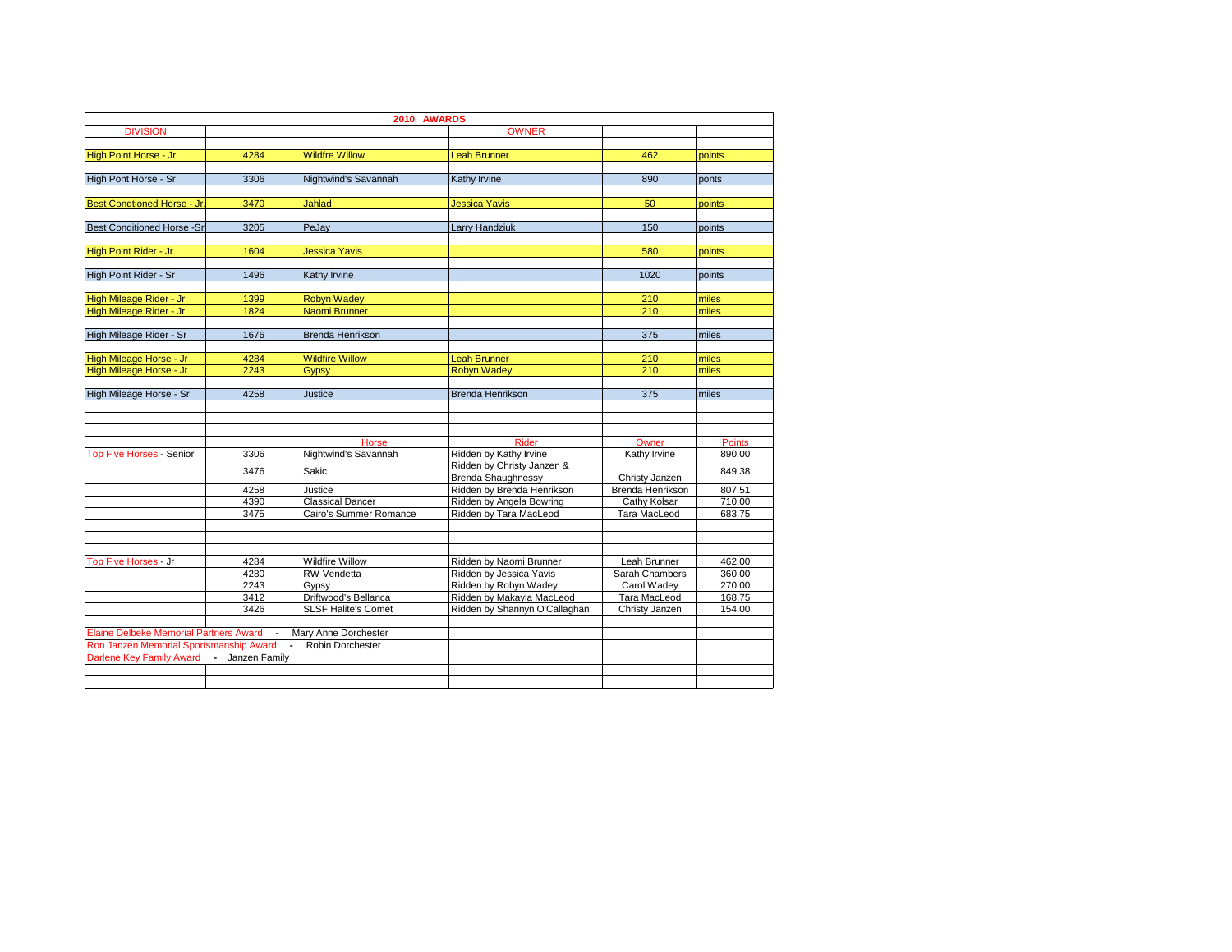| 2010 AWARDS                                                                                                                                                                                                                                                                               |                              |                                      |                                                        |                                  |                  |
|-------------------------------------------------------------------------------------------------------------------------------------------------------------------------------------------------------------------------------------------------------------------------------------------|------------------------------|--------------------------------------|--------------------------------------------------------|----------------------------------|------------------|
| <b>DIVISION</b>                                                                                                                                                                                                                                                                           |                              |                                      | <b>OWNER</b>                                           |                                  |                  |
|                                                                                                                                                                                                                                                                                           |                              |                                      |                                                        |                                  |                  |
| High Point Horse - Jr                                                                                                                                                                                                                                                                     | 4284                         | <b>Wildfre Willow</b>                | <b>Leah Brunner</b>                                    | 462                              | points           |
|                                                                                                                                                                                                                                                                                           |                              |                                      |                                                        |                                  |                  |
| High Pont Horse - Sr                                                                                                                                                                                                                                                                      | 3306<br>Nightwind's Savannah |                                      | <b>Kathy Irvine</b>                                    | 890                              | ponts            |
|                                                                                                                                                                                                                                                                                           |                              |                                      |                                                        |                                  |                  |
|                                                                                                                                                                                                                                                                                           | 3470                         | <b>Jahlad</b>                        | <b>Jessica Yavis</b>                                   | 50                               | points           |
|                                                                                                                                                                                                                                                                                           |                              |                                      |                                                        |                                  |                  |
|                                                                                                                                                                                                                                                                                           | 3205                         | PeJay                                | <b>Larry Handziuk</b>                                  | 150                              | points           |
|                                                                                                                                                                                                                                                                                           |                              |                                      |                                                        |                                  |                  |
|                                                                                                                                                                                                                                                                                           | 1604                         | <b>Jessica Yavis</b>                 |                                                        | 580                              | points           |
|                                                                                                                                                                                                                                                                                           | 1496                         | Kathy Irvine                         |                                                        | 1020                             | points           |
|                                                                                                                                                                                                                                                                                           |                              |                                      |                                                        |                                  |                  |
|                                                                                                                                                                                                                                                                                           | 1399                         | <b>Robyn Wadev</b>                   |                                                        | 210                              | miles            |
|                                                                                                                                                                                                                                                                                           | 1824                         | <b>Naomi Brunner</b>                 |                                                        | 210                              | miles            |
|                                                                                                                                                                                                                                                                                           |                              |                                      |                                                        |                                  |                  |
| Best Condtioned Horse - Jr.<br><b>Best Conditioned Horse -Sr</b><br>High Point Rider - Jr<br>High Point Rider - Sr<br>High Mileage Rider - Jr<br>High Mileage Rider - Jr<br>High Mileage Rider - Sr<br>High Mileage Horse - Jr<br><b>Top Five Horses - Senior</b><br>Top Five Horses - Jr | 1676                         | <b>Brenda Henrikson</b>              |                                                        | 375                              | miles            |
|                                                                                                                                                                                                                                                                                           |                              |                                      |                                                        |                                  |                  |
|                                                                                                                                                                                                                                                                                           | 4284                         | <b>Wildfire Willow</b>               | <b>Leah Brunner</b>                                    | 210                              | miles            |
| High Mileage Horse - Jr                                                                                                                                                                                                                                                                   | 2243                         | Gypsy                                | <b>Robyn Wadey</b>                                     | 210                              | miles            |
|                                                                                                                                                                                                                                                                                           |                              |                                      |                                                        |                                  |                  |
| High Mileage Horse - Sr                                                                                                                                                                                                                                                                   | 4258                         | Justice                              | <b>Brenda Henrikson</b>                                | 375                              | miles            |
|                                                                                                                                                                                                                                                                                           |                              |                                      |                                                        |                                  |                  |
|                                                                                                                                                                                                                                                                                           |                              |                                      |                                                        |                                  |                  |
|                                                                                                                                                                                                                                                                                           |                              |                                      |                                                        |                                  |                  |
|                                                                                                                                                                                                                                                                                           |                              | Horse                                | <b>Rider</b>                                           | Owner                            | <b>Points</b>    |
|                                                                                                                                                                                                                                                                                           | 3306<br>3476                 | Nightwind's Savannah<br><b>Sakic</b> | Ridden by Kathy Irvine                                 | Kathy Irvine                     | 890.00           |
|                                                                                                                                                                                                                                                                                           |                              |                                      | Ridden by Christy Janzen &                             |                                  | 849.38           |
|                                                                                                                                                                                                                                                                                           |                              |                                      | <b>Brenda Shaughnessy</b>                              | Christy Janzen                   |                  |
|                                                                                                                                                                                                                                                                                           | 4258<br>4390                 | Justice<br><b>Classical Dancer</b>   | Ridden by Brenda Henrikson<br>Ridden by Angela Bowring | Brenda Henrikson<br>Cathy Kolsar | 807.51<br>710.00 |
|                                                                                                                                                                                                                                                                                           | 3475                         | Cairo's Summer Romance               | Ridden by Tara MacLeod                                 | Tara MacLeod                     | 683.75           |
|                                                                                                                                                                                                                                                                                           |                              |                                      |                                                        |                                  |                  |
|                                                                                                                                                                                                                                                                                           |                              |                                      |                                                        |                                  |                  |
|                                                                                                                                                                                                                                                                                           |                              |                                      |                                                        |                                  |                  |
|                                                                                                                                                                                                                                                                                           | 4284                         | Wildfire Willow                      | Ridden by Naomi Brunner                                | Leah Brunner                     | 462.00           |
|                                                                                                                                                                                                                                                                                           | 4280                         | <b>RW Vendetta</b>                   | Ridden by Jessica Yavis                                | Sarah Chambers                   | 360.00           |
|                                                                                                                                                                                                                                                                                           | 2243                         | Gypsy                                | Ridden by Robyn Wadey                                  | Carol Wadey                      | 270.00           |
|                                                                                                                                                                                                                                                                                           | 3412                         | Driftwood's Bellanca                 | Ridden by Makayla MacLeod                              | Tara MacLeod                     | 168.75           |
|                                                                                                                                                                                                                                                                                           | 3426                         | <b>SLSF Halite's Comet</b>           | Ridden by Shannyn O'Callaghan                          | Christy Janzen                   | 154.00           |
|                                                                                                                                                                                                                                                                                           |                              |                                      |                                                        |                                  |                  |
| <b>Elaine Delbeke Memorial Partners Award</b>                                                                                                                                                                                                                                             |                              | Mary Anne Dorchester                 |                                                        |                                  |                  |
| Ron Janzen Memorial Sportsmanship Award                                                                                                                                                                                                                                                   | $\blacksquare$               | Robin Dorchester                     |                                                        |                                  |                  |
| Darlene Key Family Award                                                                                                                                                                                                                                                                  | - Janzen Family              |                                      |                                                        |                                  |                  |
|                                                                                                                                                                                                                                                                                           |                              |                                      |                                                        |                                  |                  |
|                                                                                                                                                                                                                                                                                           |                              |                                      |                                                        |                                  |                  |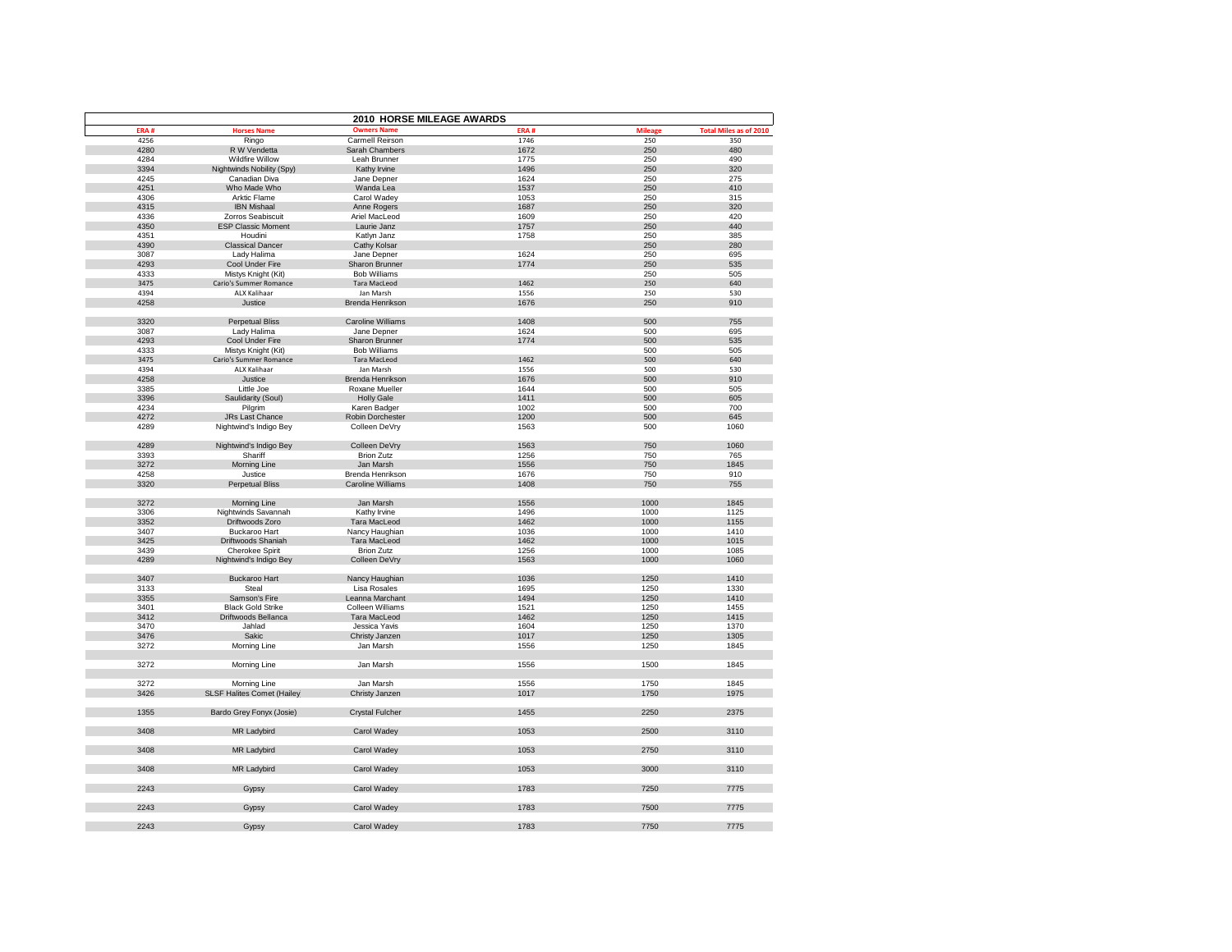|      |                                   | 2010 HORSE MILEAGE AWARDS |      |         |                               |
|------|-----------------------------------|---------------------------|------|---------|-------------------------------|
| ERA# | <b>Horses Name</b>                | <b>Owners Name</b>        | ERA# | Mileage | <b>Total Miles as of 2010</b> |
| 4256 | Ringo                             | <b>Carmell Reirson</b>    | 1746 | 250     | 350                           |
| 4280 | R W Vendetta                      | Sarah Chambers            | 1672 | 250     | 480                           |
| 4284 | Wildfire Willow                   | Leah Brunner              | 1775 | 250     | 490                           |
| 3394 | Nightwinds Nobility (Spy)         | Kathy Irvine              | 1496 | 250     | 320                           |
| 4245 | Canadian Diva                     | Jane Depner               | 1624 | 250     | 275                           |
| 4251 | Who Made Who                      | Wanda Lea                 | 1537 | 250     | 410                           |
| 4306 | Arktic Flame                      | Carol Wadey               | 1053 | 250     | 315                           |
| 4315 | <b>IBN Mishaal</b>                | Anne Rogers               | 1687 | 250     | 320                           |
| 4336 | Zorros Seabiscuit                 | Ariel MacLeod             | 1609 | 250     | 420                           |
| 4350 | <b>ESP Classic Moment</b>         | Laurie Janz               | 1757 | 250     | 440                           |
| 4351 | Houdini                           | Katlyn Janz               | 1758 | 250     | 385                           |
| 4390 | <b>Classical Dancer</b>           | Cathy Kolsar              |      | 250     | 280                           |
| 3087 | Lady Halima                       | Jane Depner               | 1624 | 250     | 695                           |
| 4293 | Cool Under Fire                   | Sharon Brunner            | 1774 | 250     | 535                           |
| 4333 | Mistys Knight (Kit)               | <b>Bob Williams</b>       |      | 250     | 505                           |
| 3475 | Cario's Summer Romance            | <b>Tara MacLeod</b>       | 1462 | 250     | 640                           |
| 4394 | ALX Kalihaar                      | Jan Marsh                 | 1556 | 250     | 530                           |
| 4258 | Justice                           | Brenda Henrikson          | 1676 | 250     | 910                           |
|      |                                   |                           |      |         |                               |
| 3320 | <b>Perpetual Bliss</b>            | <b>Caroline Williams</b>  | 1408 | 500     | 755                           |
|      |                                   |                           |      | 500     |                               |
| 3087 | Lady Halima                       | Jane Depner               | 1624 |         | 695                           |
| 4293 | Cool Under Fire                   | Sharon Brunner            | 1774 | 500     | 535                           |
| 4333 | Mistys Knight (Kit)               | <b>Bob Williams</b>       |      | 500     | 505                           |
| 3475 | Cario's Summer Romance            | <b>Tara MacLeod</b>       | 1462 | 500     | 640                           |
| 4394 | ALX Kalihaar                      | Jan Marsh                 | 1556 | 500     | 530                           |
| 4258 | Justice                           | Brenda Henrikson          | 1676 | 500     | 910                           |
| 3385 | Little Joe                        | Roxane Mueller            | 1644 | 500     | 505                           |
| 3396 | Saulidarity (Soul)                | <b>Holly Gale</b>         | 1411 | 500     | 605                           |
| 4234 | Pilgrim                           | Karen Badger              | 1002 | 500     | 700                           |
| 4272 | JRs Last Chance                   | Robin Dorchester          | 1200 | 500     | 645                           |
| 4289 | Nightwind's Indigo Bey            | Colleen DeVry             | 1563 | 500     | 1060                          |
|      |                                   |                           |      |         |                               |
| 4289 | Nightwind's Indigo Bey            | Colleen DeVry             | 1563 | 750     | 1060                          |
| 3393 | Shariff                           | <b>Brion Zutz</b>         | 1256 | 750     | 765                           |
| 3272 | <b>Morning Line</b>               | Jan Marsh                 | 1556 | 750     | 1845                          |
| 4258 | Justice                           | Brenda Henrikson          | 1676 | 750     | 910                           |
| 3320 | <b>Perpetual Bliss</b>            | <b>Caroline Williams</b>  | 1408 | 750     | 755                           |
| 3272 | Morning Line                      | Jan Marsh                 | 1556 | 1000    | 1845                          |
| 3306 | Nightwinds Savannah               | Kathy Irvine              | 1496 | 1000    | 1125                          |
| 3352 | Driftwoods Zoro                   | <b>Tara MacLeod</b>       | 1462 | 1000    | 1155                          |
| 3407 |                                   |                           |      |         |                               |
|      | <b>Buckaroo Hart</b>              | Nancy Haughian            | 1036 | 1000    | 1410                          |
| 3425 | Driftwoods Shaniah                | Tara MacLeod              | 1462 | 1000    | 1015                          |
| 3439 | <b>Cherokee Spirit</b>            | <b>Brion Zutz</b>         | 1256 | 1000    | 1085                          |
| 4289 | Nightwind's Indigo Bey            | Colleen DeVry             | 1563 | 1000    | 1060                          |
|      |                                   |                           |      |         |                               |
| 3407 | <b>Buckaroo Hart</b>              | Nancy Haughian            | 1036 | 1250    | 1410                          |
| 3133 | Steal                             | Lisa Rosales              | 1695 | 1250    | 1330                          |
| 3355 | Samson's Fire                     | Leanna Marchant           | 1494 | 1250    | 1410                          |
| 3401 | <b>Black Gold Strike</b>          | Colleen Williams          | 1521 | 1250    | 1455                          |
| 3412 | Driftwoods Bellanca               | Tara MacLeod              | 1462 | 1250    | 1415                          |
| 3470 | Jahlad                            | Jessica Yavis             | 1604 | 1250    | 1370                          |
| 3476 | Sakic                             | Christy Janzen            | 1017 | 1250    | 1305                          |
| 3272 | Morning Line                      | Jan Marsh                 | 1556 | 1250    | 1845                          |
|      |                                   |                           |      |         |                               |
| 3272 | Morning Line                      | Jan Marsh                 | 1556 | 1500    | 1845                          |
|      |                                   |                           |      |         |                               |
| 3272 | Morning Line                      | Jan Marsh                 | 1556 | 1750    | 1845                          |
| 3426 | <b>SLSF Halites Comet (Hailey</b> | Christy Janzen            | 1017 | 1750    | 1975                          |
|      |                                   |                           |      |         |                               |
| 1355 | Bardo Grey Fonyx (Josie)          | Crystal Fulcher           | 1455 | 2250    | 2375                          |
| 3408 | MR Ladybird                       | Carol Wadey               | 1053 | 2500    | 3110                          |
|      |                                   |                           |      |         |                               |
| 3408 | MR Ladybird                       | Carol Wadey               | 1053 | 2750    | 3110                          |
| 3408 | MR Ladybird                       | Carol Wadey               | 1053 | 3000    | 3110                          |
| 2243 | Gypsy                             | Carol Wadey               | 1783 | 7250    | 7775                          |
|      |                                   |                           |      |         |                               |
| 2243 | Gypsy                             | Carol Wadey               | 1783 | 7500    | 7775                          |
| 2243 | Gypsy                             | Carol Wadey               | 1783 | 7750    | 7775                          |
|      |                                   |                           |      |         |                               |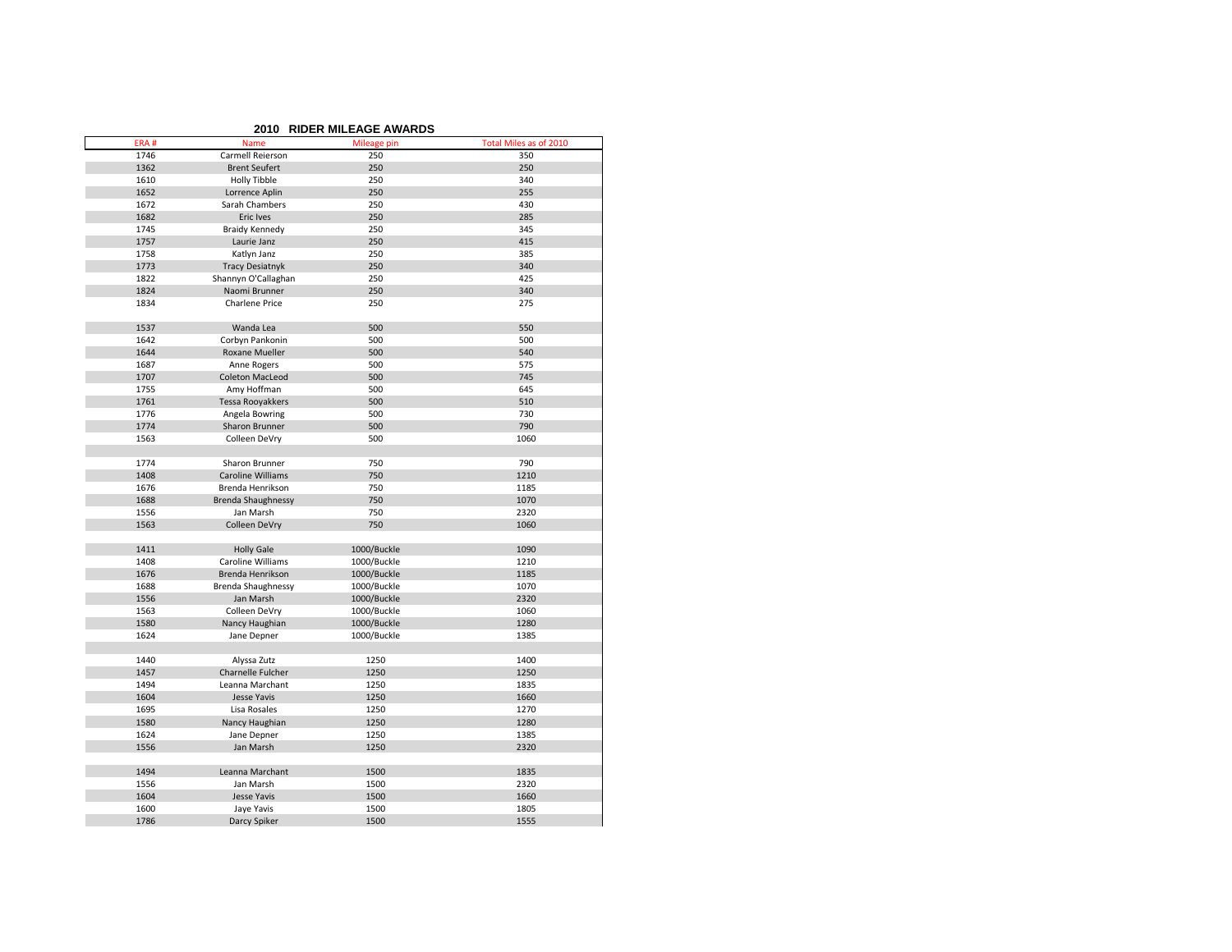|      | <b>RIDER MILEAGE AWARDS</b><br>2010 |             |                        |  |  |
|------|-------------------------------------|-------------|------------------------|--|--|
| ERA# | Name                                | Mileage pin | Total Miles as of 2010 |  |  |
| 1746 | Carmell Reierson                    | 250         | 350                    |  |  |
| 1362 | <b>Brent Seufert</b>                | 250         | 250                    |  |  |
| 1610 | Holly Tibble                        | 250         | 340                    |  |  |
| 1652 | Lorrence Aplin                      | 250         | 255                    |  |  |
| 1672 | Sarah Chambers                      | 250         | 430                    |  |  |
| 1682 | Eric Ives                           | 250         | 285                    |  |  |
| 1745 | <b>Braidy Kennedy</b>               | 250         | 345                    |  |  |
| 1757 | Laurie Janz                         | 250         | 415                    |  |  |
| 1758 | Katlyn Janz                         | 250         | 385                    |  |  |
| 1773 | <b>Tracy Desiatnyk</b>              | 250         | 340                    |  |  |
| 1822 | Shannyn O'Callaghan                 | 250         | 425                    |  |  |
| 1824 | Naomi Brunner                       | 250         | 340                    |  |  |
| 1834 | <b>Charlene Price</b>               | 250         | 275                    |  |  |
| 1537 | Wanda Lea                           | 500         | 550                    |  |  |
| 1642 | Corbyn Pankonin                     | 500         | 500                    |  |  |
| 1644 | Roxane Mueller                      | 500         | 540                    |  |  |
| 1687 | Anne Rogers                         | 500         | 575                    |  |  |
| 1707 | Coleton MacLeod                     | 500         | 745                    |  |  |
| 1755 | Amy Hoffman                         | 500         | 645                    |  |  |
| 1761 | Tessa Rooyakkers                    | 500         | 510                    |  |  |
| 1776 | Angela Bowring                      | 500         | 730                    |  |  |
| 1774 | Sharon Brunner                      | 500         | 790                    |  |  |
| 1563 | Colleen DeVry                       | 500         | 1060                   |  |  |
| 1774 | Sharon Brunner                      | 750         | 790                    |  |  |
| 1408 | <b>Caroline Williams</b>            | 750         | 1210                   |  |  |
| 1676 | Brenda Henrikson                    | 750         | 1185                   |  |  |
| 1688 | <b>Brenda Shaughnessy</b>           | 750         | 1070                   |  |  |
| 1556 | Jan Marsh                           | 750         | 2320                   |  |  |
| 1563 | Colleen DeVry                       | 750         | 1060                   |  |  |
|      |                                     |             |                        |  |  |
| 1411 | <b>Holly Gale</b>                   | 1000/Buckle | 1090                   |  |  |
| 1408 | Caroline Williams                   | 1000/Buckle | 1210                   |  |  |
| 1676 | Brenda Henrikson                    | 1000/Buckle | 1185                   |  |  |
| 1688 | Brenda Shaughnessy                  | 1000/Buckle | 1070                   |  |  |
| 1556 | Jan Marsh                           | 1000/Buckle | 2320                   |  |  |
| 1563 | Colleen DeVry                       | 1000/Buckle | 1060                   |  |  |
| 1580 | Nancy Haughian                      | 1000/Buckle | 1280                   |  |  |
| 1624 | Jane Depner                         | 1000/Buckle | 1385                   |  |  |
|      |                                     |             |                        |  |  |
| 1440 | Alyssa Zutz                         | 1250        | 1400                   |  |  |
| 1457 | Charnelle Fulcher                   | 1250        | 1250                   |  |  |
| 1494 | Leanna Marchant                     | 1250        | 1835                   |  |  |
| 1604 | Jesse Yavis                         | 1250        | 1660                   |  |  |
| 1695 | Lisa Rosales                        | 1250        | 1270                   |  |  |
| 1580 | Nancy Haughian                      | 1250        | 1280                   |  |  |
| 1624 | Jane Depner                         | 1250        | 1385                   |  |  |
| 1556 | Jan Marsh                           | 1250        | 2320                   |  |  |
| 1494 | Leanna Marchant                     | 1500        | 1835                   |  |  |
| 1556 | Jan Marsh                           | 1500        | 2320                   |  |  |
| 1604 | Jesse Yavis                         | 1500        | 1660                   |  |  |
| 1600 | Jaye Yavis                          | 1500        | 1805                   |  |  |
| 1786 | Darcy Spiker                        | 1500        | 1555                   |  |  |